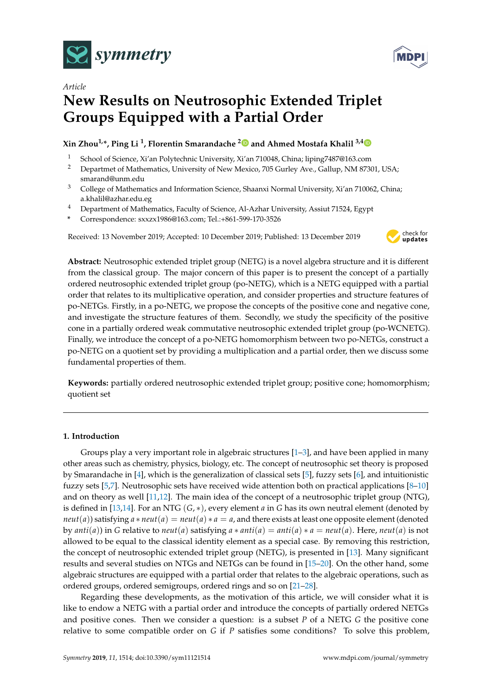



# **New Results on Neutrosophic Extended Triplet Groups Equipped with a Partial Order**

# **Xin Zhou1,\*, Ping Li <sup>1</sup> , Florentin Smarandache [2](https://orcid.org/0000-0002-5560-5926) and Ahmed Mostafa Khalil 3,[4](https://orcid.org/0000-0002-5560-5926)**

- <sup>1</sup> School of Science, Xi'an Polytechnic University, Xi'an 710048, China; liping7487@163.com
- <sup>2</sup> Departmet of Mathematics, University of New Mexico, 705 Gurley Ave., Gallup, NM 87301, USA; smarand@unm.edu
- <sup>3</sup> College of Mathematics and Information Science, Shaanxi Normal University, Xi'an 710062, China; a.khalil@azhar.edu.eg
- <sup>4</sup> Department of Mathematics, Faculty of Science, Al-Azhar University, Assiut 71524, Egypt
- **\*** Correspondence: sxxzx1986@163.com; Tel.:+861-599-170-3526

Received: 13 November 2019; Accepted: 10 December 2019; Published: 13 December 2019



**Abstract:** Neutrosophic extended triplet group (NETG) is a novel algebra structure and it is different from the classical group. The major concern of this paper is to present the concept of a partially ordered neutrosophic extended triplet group (po-NETG), which is a NETG equipped with a partial order that relates to its multiplicative operation, and consider properties and structure features of po-NETGs. Firstly, in a po-NETG, we propose the concepts of the positive cone and negative cone, and investigate the structure features of them. Secondly, we study the specificity of the positive cone in a partially ordered weak commutative neutrosophic extended triplet group (po-WCNETG). Finally, we introduce the concept of a po-NETG homomorphism between two po-NETGs, construct a po-NETG on a quotient set by providing a multiplication and a partial order, then we discuss some fundamental properties of them.

**Keywords:** partially ordered neutrosophic extended triplet group; positive cone; homomorphism; quotient set

# **1. Introduction**

Groups play a very important role in algebraic structures [\[1](#page-11-0)[–3\]](#page-11-1), and have been applied in many other areas such as chemistry, physics, biology, etc. The concept of neutrosophic set theory is proposed by Smarandache in [\[4\]](#page-11-2), which is the generalization of classical sets [\[5\]](#page-12-0), fuzzy sets [\[6\]](#page-12-1), and intuitionistic fuzzy sets [\[5,](#page-12-0)[7\]](#page-12-2). Neutrosophic sets have received wide attention both on practical applications [\[8](#page-12-3)[–10\]](#page-12-4) and on theory as well [\[11](#page-12-5)[,12\]](#page-12-6). The main idea of the concept of a neutrosophic triplet group (NTG), is defined in [\[13](#page-12-7)[,14\]](#page-12-8). For an NTG (*G*, ∗), every element *a* in *G* has its own neutral element (denoted by  $neut(a)$ ) satisfying  $a * neut(a) = neut(a) * a = a$ , and there exists at least one opposite element (denoted by  $anti(a)$  in G relative to *neut*(*a*) satisfying  $a * anti(a) = anti(a) * a = neutral(a)$ . Here, *neut*(*a*) is not allowed to be equal to the classical identity element as a special case. By removing this restriction, the concept of neutrosophic extended triplet group (NETG), is presented in [\[13\]](#page-12-7). Many significant results and several studies on NTGs and NETGs can be found in [\[15–](#page-12-9)[20\]](#page-12-10). On the other hand, some algebraic structures are equipped with a partial order that relates to the algebraic operations, such as ordered groups, ordered semigroups, ordered rings and so on [\[21](#page-12-11)[–28\]](#page-12-12).

Regarding these developments, as the motivation of this article, we will consider what it is like to endow a NETG with a partial order and introduce the concepts of partially ordered NETGs and positive cones. Then we consider a question: is a subset *P* of a NETG *G* the positive cone relative to some compatible order on *G* if *P* satisfies some conditions? To solve this problem,

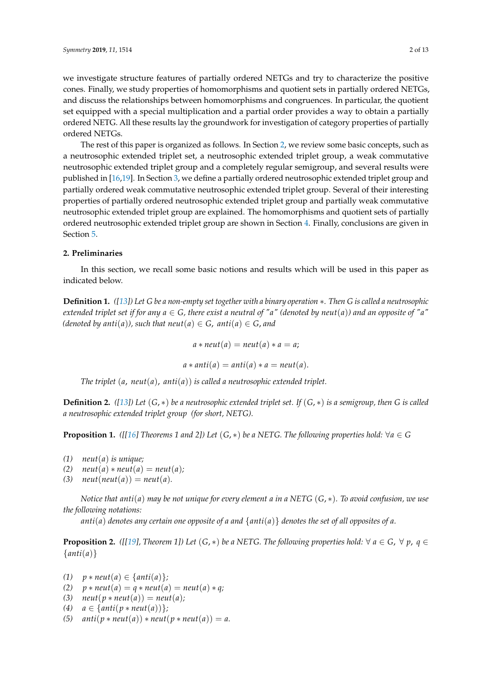we investigate structure features of partially ordered NETGs and try to characterize the positive cones. Finally, we study properties of homomorphisms and quotient sets in partially ordered NETGs, and discuss the relationships between homomorphisms and congruences. In particular, the quotient set equipped with a special multiplication and a partial order provides a way to obtain a partially ordered NETG. All these results lay the groundwork for investigation of category properties of partially ordered NETGs.

The rest of this paper is organized as follows. In Section [2,](#page-1-0) we review some basic concepts, such as a neutrosophic extended triplet set, a neutrosophic extended triplet group, a weak commutative neutrosophic extended triplet group and a completely regular semigroup, and several results were published in [\[16,](#page-12-13)[19\]](#page-12-14). In Section [3,](#page-2-0) we define a partially ordered neutrosophic extended triplet group and partially ordered weak commutative neutrosophic extended triplet group. Several of their interesting properties of partially ordered neutrosophic extended triplet group and partially weak commutative neutrosophic extended triplet group are explained. The homomorphisms and quotient sets of partially ordered neutrosophic extended triplet group are shown in Section [4.](#page-7-0) Finally, conclusions are given in Section [5.](#page-11-3)

# <span id="page-1-0"></span>**2. Preliminaries**

In this section, we recall some basic notions and results which will be used in this paper as indicated below.

**Definition 1.** *([\[13\]](#page-12-7)) Let G be a non-empty set together with a binary operation* ∗*. Then G is called a neutrosophic extended triplet set if for any*  $a \in G$ , there exist a neutral of "a" (denoted by neut(a)) and an opposite of "a" *(denoted by anti*(*a*)*)*, such that neut(*a*)  $\in$  *G*, *anti*(*a*)  $\in$  *G*, *and* 

$$
a * neut(a) = neut(a) * a = a;
$$

$$
a * anti(a) = anti(a) * a = neut(a).
$$

*The triplet* (*a*, *neut*(*a*), *anti*(*a*)) *is called a neutrosophic extended triplet.*

**Definition 2.** *([\[13\]](#page-12-7)) Let* (*G*, ∗) *be a neutrosophic extended triplet set. If* (*G*, ∗) *is a semigroup, then G is called a neutrosophic extended triplet group (for short, NETG).*

**Proposition 1.** ([[\[16\]](#page-12-13) Theorems 1 and 2]) Let  $(G, *)$  be a NETG. The following properties hold:  $\forall a \in G$ 

- *(1) neut*(*a*) *is unique;*
- $(2)$  *neut* $(a) * \text{neut}(a) = \text{neut}(a)$ ;
- $(3)$   $neut(new(a)) = neut(a).$

*Notice that anti*(*a*) *may be not unique for every element a in a NETG* (*G*, ∗)*. To avoid confusion, we use the following notations:*

*anti*(*a*) *denotes any certain one opposite of a and* {*anti*(*a*)} *denotes the set of all opposites of a.*

**Proposition 2.** ([[\[19\]](#page-12-14), Theorem 1]) Let  $(G, *)$  be a NETG. The following properties hold:  $\forall a \in G, \forall p, q \in G$ {*anti*(*a*)}

- *(1)*  $p * \text{neut}(a) \in \{ \text{anti}(a) \};$
- *(2)*  $p * \text{neut}(a) = q * \text{neut}(a) = \text{neut}(a) * q;$
- (3)  $neut(p * neut(a)) = neut(a);$
- *(4)*  $a \in \{anti(p * neut(a))\};$
- (5)  $anti(p * neut(a)) * neut(p * neut(a)) = a.$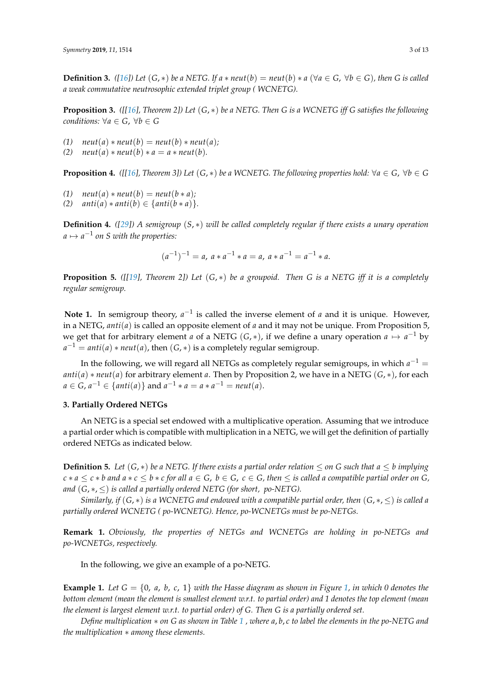**Definition 3.** ([\[16\]](#page-12-13)) Let  $(G, *)$  be a NETG. If  $a * neut(b) = neut(b) * a (\forall a \in G, \forall b \in G)$ , then G is called *a weak commutative neutrosophic extended triplet group ( WCNETG).*

**Proposition 3.** ( $\lfloor [16]$  $\lfloor [16]$ *, Theorem 2])* Let  $(G, *)$  be a NETG. Then G is a WCNETG iff G satisfies the following *conditions:*  $\forall a \in G$ ,  $\forall b \in G$ 

- (1)  $neut(a) * neut(b) = neut(b) * neut(a);$
- *(2)*  $neut(a) * neut(b) * a = a * neut(b).$

**Proposition 4.** *([[\[16\]](#page-12-13), Theorem 3])* Let  $(G, *)$  *be a WCNETG. The following properties hold:*  $\forall a \in G$ ,  $\forall b \in G$ 

- $(1)$   $neut(a) * neut(b) = neut(b * a);$
- (2)  $anti(a) * anti(b) \in \{anti(b * a)\}.$

**Definition 4.** *([\[29\]](#page-12-15)) A semigroup* (*S*, ∗) *will be called completely regular if there exists a unary operation*  $a \mapsto a^{-1}$  on S with the properties:

$$
(a^{-1})^{-1} = a, \ a * a^{-1} * a = a, \ a * a^{-1} = a^{-1} * a.
$$

**Proposition 5.** *([[\[19\]](#page-12-14), Theorem 2]) Let* (*G*, ∗) *be a groupoid. Then G is a NETG iff it is a completely regular semigroup.*

Note 1. In semigroup theory,  $a^{-1}$  is called the inverse element of *a* and it is unique. However, in a NETG, *anti*(*a*) is called an opposite element of *a* and it may not be unique. From Proposition 5, we get that for arbitrary element *a* of a NETG (*G*,  $*$ ), if we define a unary operation  $a \mapsto a^{-1}$  by  $a^{-1} = anti(a) * neut(a)$ , then  $(G, *)$  is a completely regular semigroup.

In the following, we will regard all NETGs as completely regular semigroups, in which  $a^{-1} =$  $anti(a) * neut(a)$  for arbitrary element *a*. Then by Proposition 2, we have in a NETG  $(G, *)$ , for each *a* ∈ *G*, *a*<sup>-1</sup> ∈ {*anti*(*a*)} and *a*<sup>-1</sup> ∗ *a* = *a* ∗ *a*<sup>-1</sup> = *neut*(*a*).

# <span id="page-2-0"></span>**3. Partially Ordered NETGs**

An NETG is a special set endowed with a multiplicative operation. Assuming that we introduce a partial order which is compatible with multiplication in a NETG, we will get the definition of partially ordered NETGs as indicated below.

**Definition 5.** Let  $(G, *)$  be a NETG. If there exists a partial order relation  $\leq$  on G such that  $a \leq b$  implying  $c * a \leq c * b$  and  $a * c \leq b * c$  for all  $a \in G$ ,  $b \in G$ ,  $c \in G$ , then  $\leq$  is called a compatible partial order on  $G$ , *and* (*G*, ∗, ≤) *is called a partially ordered NETG (for short, po-NETG).*

*Similarly, if*  $(G, *)$  *is a WCNETG and endowed with a compatible partial order, then*  $(G, *, ≤)$  *is called a partially ordered WCNETG ( po-WCNETG). Hence, po-WCNETGs must be po-NETGs.*

**Remark 1.** *Obviously, the properties of NETGs and WCNETGs are holding in po-NETGs and po-WCNETGs, respectively.*

In the following, we give an example of a po-NETG.

**Example 1.** *Let*  $G = \{0, a, b, c, 1\}$  *with the Hasse diagram as shown in Figure* [1,](#page-3-0) *in which* 0 denotes the *bottom element (mean the element is smallest element w.r.t. to partial order) and 1 denotes the top element (mean the element is largest element w.r.t. to partial order) of G. Then G is a partially ordered set.*

*Define multiplication* ∗ *on G as shown in Table [1](#page-3-1) , where a*, *b*, *c to label the elements in the po-NETG and the multiplication* ∗ *among these elements.*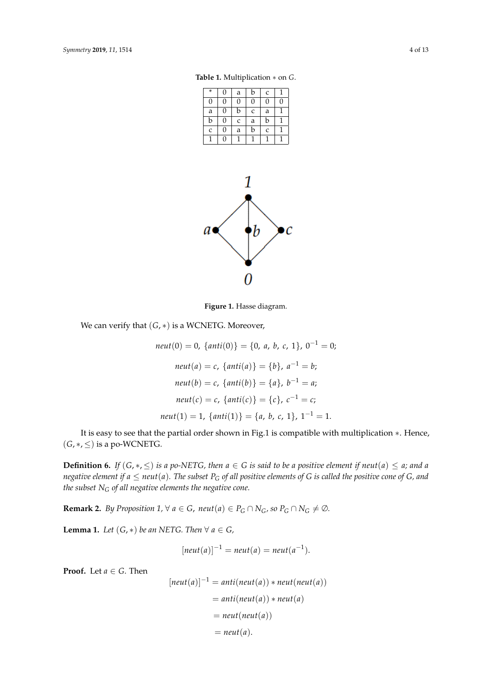<span id="page-3-1"></span>**Table 1.** Multiplication ∗ on *G*.

| $\ast$ | 0 | a | b | C              |   |
|--------|---|---|---|----------------|---|
| 0      | 0 | 0 | 0 | $\overline{0}$ | 0 |
| a      | 0 | b | C | a              |   |
| b      | 0 | C | a | b              |   |
| C      | 0 | a | b | C              |   |
|        | 0 |   |   |                |   |

<span id="page-3-0"></span>

**Figure 1.** Hasse diagram.

We can verify that (*G*, ∗) is a WCNETG. Moreover,

$$
neut(0) = 0, \{anti(0)\} = \{0, a, b, c, 1\}, 0^{-1} = 0;
$$

$$
neut(a) = c, \{anti(a)\} = \{b\}, a^{-1} = b;
$$

$$
neut(b) = c, \{anti(b)\} = \{a\}, b^{-1} = a;
$$

$$
neut(c) = c, \{anti(c)\} = \{c\}, c^{-1} = c;
$$

$$
neut(1) = 1, \{anti(1)\} = \{a, b, c, 1\}, 1^{-1} = 1.
$$

It is easy to see that the partial order shown in Fig.1 is compatible with multiplication ∗. Hence,  $(G, *, \leq)$  is a po-WCNETG.

**Definition 6.** *If*  $(G, *, \leq)$  *is a po-NETG, then*  $a \in G$  *is said to be a positive element if neut* $(a) \leq a$ *; and a negative element if*  $a \leq$  *neut*( $a$ ). The subset  $P_G$  of all positive elements of G is called the positive cone of G, and *the subset N<sup>G</sup> of all negative elements the negative cone.*

**Remark 2.** *By Proposition 1,*  $\forall$  *a*  $\in$  *G*, *neut*(*a*)  $\in$  *P<sub>G</sub>*  $\cap$  *N<sub>G</sub>*, *so P<sub>G</sub>*  $\cap$  *N<sub>G</sub>*  $\neq$   $\emptyset$ *.* 

**Lemma 1.** *Let*  $(G, *)$  *be an NETG. Then*  $\forall a \in G$ *,* 

$$
[neut(a)]^{-1} = neut(a) = neut(a^{-1}).
$$

**Proof.** Let  $a \in G$ . Then

$$
[neut(a)]^{-1} = anti(newt(a)) * neut(newt(a))
$$
  
= anti(newt(a)) \* neut(a)  
= neut(newt(a))  
= neut(a).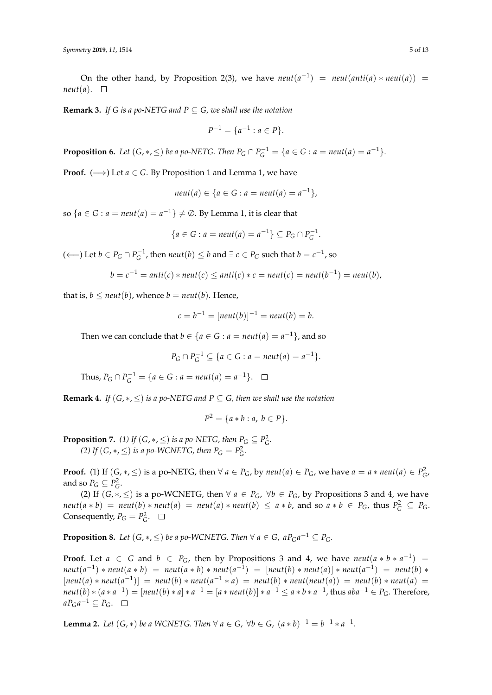On the other hand, by Proposition 2(3), we have  $neut(a^{-1})$  =  $neut(anti(a) * neut(a))$  =  $neut(a)$ .  $\square$ 

**Remark 3.** *If G is a po-NETG and P*  $\subseteq$  *G, we shall use the notation* 

$$
P^{-1} = \{a^{-1} : a \in P\}.
$$

**Proposition 6.** Let  $(G, *, \leq)$  be a po-NETG. Then  $P_G \cap P_G^{-1} = \{a \in G : a = neut(a) = a^{-1}\}.$ 

**Proof.** ( $\implies$ ) Let  $a \in G$ . By Proposition 1 and Lemma 1, we have

$$
neut(a) \in \{a \in G : a = neut(a) = a^{-1}\},\
$$

so  ${a \in G : a = neut(a) = a^{-1}} \neq \emptyset$ . By Lemma 1, it is clear that

$$
\{a \in G : a = \text{neut}(a) = a^{-1}\} \subseteq P_G \cap P_G^{-1}.
$$

(← ) Let  $b \in P_G \cap P_G^{-1}$ , then  $neut(b) ≤ b$  and  $\exists c ∈ P_G$  such that  $b = c^{-1}$ , so

$$
b = c^{-1} = anti(c) * neut(c) \le anti(c) * c = neut(c) = neut(b^{-1}) = neut(b),
$$

that is,  $b \leq \text{neut}(b)$ , whence  $b = \text{neut}(b)$ . Hence,

$$
c = b^{-1} = [neut(b)]^{-1} = neut(b) = b.
$$

Then we can conclude that  $b \in \{a \in G : a = \text{neut}(a) = a^{-1}\}\)$ , and so

$$
P_G \cap P_G^{-1} \subseteq \{a \in G : a = \text{neut}(a) = a^{-1}\}.
$$

Thus,  $P_G \cap P_G^{-1} = \{a \in G : a = \text{neut}(a) = a^{-1}\}.$ 

**Remark 4.** *If*  $(G, *, \leq)$  *is a po-NETG and P*  $\subseteq$  *G, then we shall use the notation* 

$$
P^2 = \{a * b : a, b \in P\}.
$$

**Proposition 7.** *(1) If*  $(G, *, \leq)$  *is a po-NETG, then*  $P_G \subseteq P_G^2$ *. (2) If*  $(G, *, \leq)$  *is a po-WCNETG, then*  $P_G = P_G^2$ .

**Proof.** (1) If  $(G, *, \leq)$  is a po-NETG, then  $\forall a \in P_G$ , by  $neut(a) \in P_G$ , we have  $a = a * neut(a) \in P_G^2$ , and so  $P_G \subseteq P_G^2$ .

(2) If  $(G, *, \leq)$  is a po-WCNETG, then  $\forall a \in P_G$ ,  $\forall b \in P_G$ , by Propositions 3 and 4, we have  $\textit{neut}(a * b) = \textit{neut}(b) * \textit{neut}(a) = \textit{neut}(a) * \textit{neut}(b) \leq a * b$ , and so  $a * b \in P_G$ , thus  $P_G^2 \subseteq P_G$ . Consequently,  $P_G = P_G^2$ .

**Proposition 8.** Let  $(G, *, \leq)$  be a po-WCNETG. Then  $\forall$   $a \in G$ ,  $aP_Ga^{-1} \subseteq P_G$ .

**Proof.** Let  $a \in G$  and  $b \in P_G$ , then by Propositions 3 and 4, we have  $neut(a * b * a^{-1})$  $neut(a^{-1}) * neut(a * b) = neut(a * b) * neut(a^{-1}) = [neut(b) * neut(a)] * neut(a^{-1}) = neut(b) *$  $[neut(a) * neut(a^{-1})] = neut(b) * neut(a^{-1} * a) = neut(b) * neut(neut(a)) = neut(b) * neut(a) =$ neut $(b)*(a*a^{-1})=[neut(b)*a]*a^{-1}=[a*neut(b)]*a^{-1}\leq a*b*a^{-1}$ , thus aba $^{-1}\in P_G.$  Therefore,  $aP_Ga^{-1} ⊆ P_G$ .

**Lemma 2.** Let  $(G, *)$  be a WCNETG. Then  $\forall a \in G$ ,  $\forall b \in G$ ,  $(a * b)^{-1} = b^{-1} * a^{-1}$ .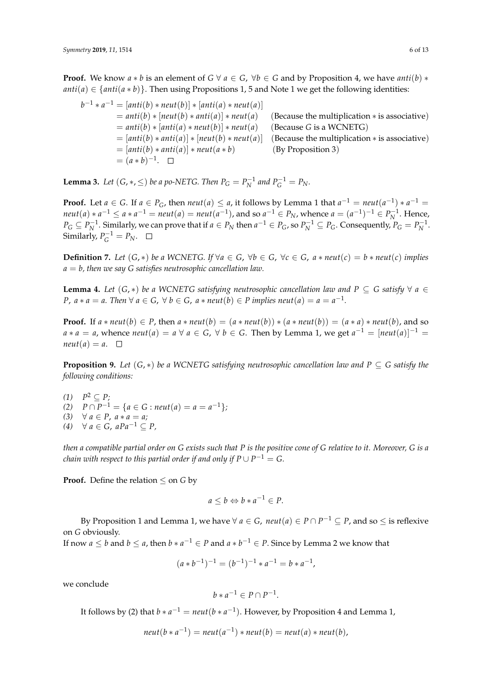**Proof.** We know  $a * b$  is an element of  $G \forall a \in G$ ,  $\forall b \in G$  and by Proposition 4, we have  $anti(b) *$  $anti(a) \in \{anti(a * b)\}.$  Then using Propositions 1, 5 and Note 1 we get the following identities:

$$
b^{-1} * a^{-1} = [anti(b) * neut(b)] * [anti(a) * neut(a)]
$$
  
=  $anti(b) * [neut(b) * anti(a)] * neut(a)$  (Because the multiplication \* is associative)  
=  $anti(b) * [anti(a) * neut(b)] * neut(a)$  (Because G is a WCNETG)  
=  $[anti(b) * anti(a)] * [neut(b) * neut(a)]$  (Because the multiplication \* is associative)  
=  $[anti(b) * anti(a)] * neut(a * b)$  (By Proposition 3)  
=  $(a * b)^{-1}$ .  $\square$ 

**Lemma 3.** Let  $(G, *, \leq)$  be a po-NETG. Then  $P_G = P_N^{-1}$  and  $P_G^{-1} = P_N$ .

**Proof.** Let  $a \in G$ . If  $a \in P_G$ , then  $neut(a) \le a$ , it follows by Lemma 1 that  $a^{-1} = neut(a^{-1}) * a^{-1} =$  $\text{neut}(a) * a^{-1} \le a * a^{-1} = \text{neut}(a) = \text{neut}(a^{-1})$ , and so  $a^{-1} \in P_N$ , whence  $a = (a^{-1})^{-1} \in P_N^{-1}$ . Hence,  $P_G \subseteq P_N^{-1}$ . Similarly, we can prove that if  $a \in P_N$  then  $a^{-1} \in P_G$ , so  $P_N^{-1} \subseteq P_G$ . Consequently,  $P_G = P_N^{-1}$ . Similarly,  $P_G^{-1} = P_N$ .

**Definition 7.** Let  $(G, *)$  be a WCNETG. If  $∀a ∈ G, ∀b ∈ G, ∀c ∈ G, a * neut(c) = b * neut(c)$  implies *a* = *b, then we say G satisfies neutrosophic cancellation law.*

**Lemma 4.** *Let*  $(G, *)$  *be a WCNETG satisfying neutrosophic cancellation law and*  $P \subseteq G$  *satisfy*  $\forall a \in G$ *P*,  $a * a = a$ . Then  $\forall a \in G$ ,  $\forall b \in G$ ,  $a * neutr(b) \in P$  implies  $neut(a) = a = a^{-1}$ .

**Proof.** If  $a * \text{neut}(b) \in P$ , then  $a * \text{neut}(b) = (a * \text{neut}(b)) * (a * \text{neut}(b)) = (a * a) * \text{neut}(b)$ , and so *a* ∗ *a* = *a*, whence *neut*(*a*) = *a* ∀ *a* ∈ *G*, ∀ *b* ∈ *G*. Then by Lemma 1, we get *a*<sup>-1</sup> = [*neut*(*a*)]<sup>-1</sup> =  $neut(a) = a. \square$ 

**Proposition 9.** *Let*  $(G, *)$  *be a WCNETG satisfying neutrosophic cancellation law and*  $P \subseteq G$  *satisfy the following conditions:*

 $(1)$   $P^2 \subseteq P$ ; (2)  $P \cap P^{-1} = \{a \in G : \text{neut}(a) = a = a^{-1}\}$ *(3)* ∀ *a* ∈ *P*, *a*  $*$  *a* = *a*;

*(4)* ∀ *a* ∈ *G*, *aPa*−<sup>1</sup> ⊆ *P,*

*then a compatible partial order on G exists such that P is the positive cone of G relative to it. Moreover, G is a chain with respect to this partial order if and only if*  $P\cup P^{-1}=G.$ 

**Proof.** Define the relation  $\leq$  on *G* by

$$
a \le b \Leftrightarrow b * a^{-1} \in P.
$$

By Proposition 1 and Lemma 1, we have  $\forall a \in G$ ,  $neut(a) \in P \cap P^{-1} \subseteq P$ , and so  $\leq$  is reflexive on *G* obviously.

If now  $a \leq b$  and  $b \leq a$ , then  $b * a^{-1} \in P$  and  $a * b^{-1} \in P$ . Since by Lemma 2 we know that

$$
(a * b^{-1})^{-1} = (b^{-1})^{-1} * a^{-1} = b * a^{-1},
$$

we conclude

$$
b*a^{-1} \in P \cap P^{-1}.
$$

It follows by (2) that  $b * a^{-1} = \text{neut}(b * a^{-1})$ . However, by Proposition 4 and Lemma 1,

$$
neut(b*a^{-1}) = neut(a^{-1}) * neut(b) = neut(a) * neut(b),
$$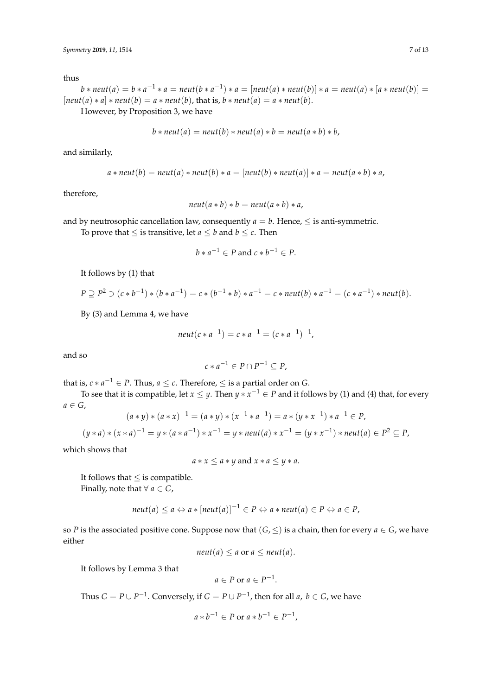thus

 $b * neut(a) = b * a^{-1} * a = neut(b * a^{-1}) * a = [neut(a) * neut(b)] * a = neut(a) * [a * neut(b)] =$  $[neut(a) * a] * neut(b) = a * neut(b)$ , that is,  $b * neut(a) = a * neut(b)$ .

However, by Proposition 3, we have

$$
b * neut(a) = neut(b) * neut(a) * b = neut(a * b) * b,
$$

and similarly,

$$
a * neut(b) = neut(a) * neut(b) * a = [neut(b) * neut(a)] * a = neut(a * b) * a,
$$

therefore,

$$
neut(a * b) * b = neut(a * b) * a,
$$

and by neutrosophic cancellation law, consequently  $a = b$ . Hence,  $\leq$  is anti-symmetric.

To prove that  $\leq$  is transitive, let  $a \leq b$  and  $b \leq c$ . Then

$$
b * a^{-1} \in P \text{ and } c * b^{-1} \in P.
$$

It follows by (1) that

$$
P \supseteq P^2 \ni (c * b^{-1}) * (b * a^{-1}) = c * (b^{-1} * b) * a^{-1} = c * \text{neut}(b) * a^{-1} = (c * a^{-1}) * \text{neut}(b).
$$

By (3) and Lemma 4, we have

$$
neut(c*a^{-1}) = c*a^{-1} = (c*a^{-1})^{-1},
$$

and so

$$
c * a^{-1} \in P \cap P^{-1} \subseteq P,
$$

that is,  $c * a^{-1} \in P$ . Thus,  $a \leq c$ . Therefore,  $\leq$  is a partial order on *G*.

To see that it is compatible, let  $x \leq y$ . Then  $y * x^{-1} \in P$  and it follows by (1) and (4) that, for every  $a \in G$ ,

$$
(a * y) * (a * x)^{-1} = (a * y) * (x^{-1} * a^{-1}) = a * (y * x^{-1}) * a^{-1} \in P,
$$

$$
(y*a)*(x*a)^{-1}=y*(a*a^{-1})*x^{-1}=y*neut(a)*x^{-1}=(y*x^{-1})*neut(a)\in P^2\subseteq P,
$$

which shows that

 $a * x \le a * y$  and  $x * a \le y * a$ .

It follows that  $\leq$  is compatible. Finally, note that  $\forall a \in G$ ,

$$
neut(a) \le a \Leftrightarrow a * [neut(a)]^{-1} \in P \Leftrightarrow a *neut(a) \in P \Leftrightarrow a \in P,
$$

so *P* is the associated positive cone. Suppose now that  $(G, \leq)$  is a chain, then for every  $a \in G$ , we have either

$$
neut(a) \leq a \text{ or } a \leq neut(a).
$$

It follows by Lemma 3 that

$$
a \in P \text{ or } a \in P^{-1}.
$$

Thus  $G = P \cup P^{-1}$ . Conversely, if  $G = P \cup P^{-1}$ , then for all *a*,  $b \in G$ , we have

$$
a * b^{-1} \in P \text{ or } a * b^{-1} \in P^{-1},
$$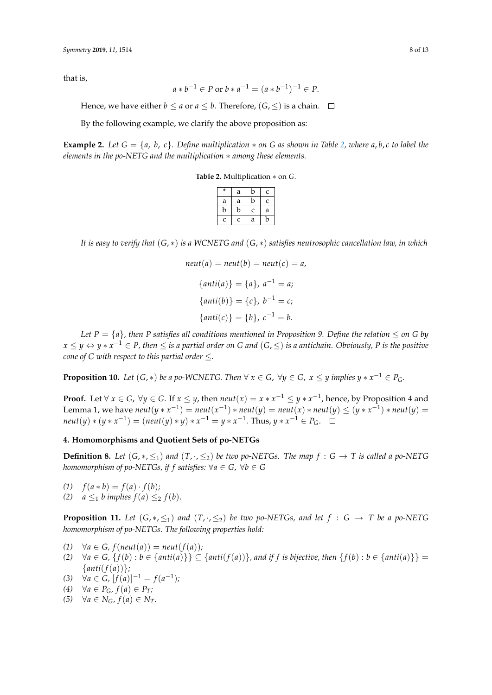that is,

$$
a * b^{-1} \in P \text{ or } b * a^{-1} = (a * b^{-1})^{-1} \in P.
$$

Hence, we have either *b*  $\le$  *a* or *a*  $\le$  *b*. Therefore,  $(G, \le)$  is a chain.  $\square$ 

By the following example, we clarify the above proposition as:

<span id="page-7-1"></span>**Example 2.** Let  $G = \{a, b, c\}$ . Define multiplication  $*$  on G as shown in Table [2,](#page-7-1) where  $a, b, c$  to label the *elements in the po-NETG and the multiplication* ∗ *among these elements.*

**Table 2.** Multiplication ∗ on *G*.

| $\ast$       | а | b | C |
|--------------|---|---|---|
| a            | a | b | Ċ |
| b            | b | C | a |
| $\mathbf{C}$ | Ċ | a | n |

*It is easy to verify that* (*G*, ∗) *is a WCNETG and* (*G*, ∗) *satisfies neutrosophic cancellation law, in which*

$$
neut(a) = neut(b) = neut(c) = a,
$$
  
\n
$$
\{anti(a)\} = \{a\}, a^{-1} = a;
$$
  
\n
$$
\{anti(b)\} = \{c\}, b^{-1} = c;
$$
  
\n
$$
\{anti(c)\} = \{b\}, c^{-1} = b.
$$

*Let*  $P = \{a\}$ *, then P* satisfies all conditions mentioned in Proposition 9. Define the relation  $\leq$  on G by *x* ≤ *y* ⇔ *y* ∗ *x* <sup>−</sup><sup>1</sup> ∈ *P, then* ≤ *is a partial order on G and* (*G*, ≤) *is a antichain. Obviously, P is the positive cone of G with respect to this partial order*  $\leq$ *.* 

**Proposition 10.** Let  $(G, *)$  be a po-WCNETG. Then  $\forall x \in G$ ,  $\forall y \in G$ ,  $x \leq y$  implies  $y * x^{-1} \in P_G$ .

**Proof.** Let  $\forall x \in G$ ,  $\forall y \in G$ . If  $x \leq y$ , then  $neut(x) = x * x^{-1} \leq y * x^{-1}$ , hence, by Proposition 4 and Lemma 1, we have  $neut(y * x^{-1}) = neut(x^{-1}) * neut(y) = neut(x) * neut(y) \le (y * x^{-1}) * neut(y) =$  $\text{neut}(y) * (y * x^{-1}) = (\text{neut}(y) * y) * x^{-1} = y * x^{-1}$ . Thus,  $y * x^{-1} \in P_G$ .

# <span id="page-7-0"></span>**4. Homomorphisms and Quotient Sets of po-NETGs**

**Definition 8.** Let  $(G, *, \leq_1)$  and  $(T, \cdot, \leq_2)$  be two po-NETGs. The map  $f : G \to T$  is called a po-NETG *homomorphism of po-NETGs, if f satisfies:*  $\forall a \in G$ ,  $\forall b \in G$ 

- (1)  $f(a * b) = f(a) \cdot f(b)$ ;
- (2)  $a \leq_1 b$  *implies*  $f(a) \leq_2 f(b)$ .

**Proposition 11.** *Let*  $(G, *, \leq_1)$  *and*  $(T, *, \leq_2)$  *be two po-NETGs, and let*  $f : G \rightarrow T$  *be a po-NETG homomorphism of po-NETGs. The following properties hold:*

 $(1)$   $\forall a \in G$ ,  $f(new(a)) = neut(f(a))$ ;

- (2)  $\forall a \in G$ ,  $\{f(b): b \in \{anti(a)\}\}\subseteq \{anti(f(a))\}$ , and if f is bijective, then  $\{f(b): b \in \{anti(a)\}\}$ {*anti*(*f*(*a*))}*;*
- (3)  $\forall a \in G, [f(a)]^{-1} = f(a^{-1});$
- *(4)* ∀*a* ∈ *P*<sub>*G*</sub>, *f*(*a*) ∈ *P*<sub>*T*</sub>;
- *(5)*  $\forall a \in N_G$ *,*  $f(a) \in N_T$ .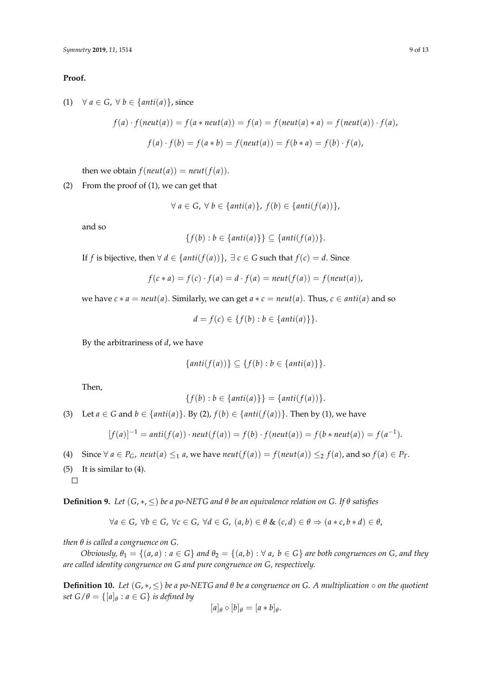### **Proof.**

(1)  $\forall a \in G, \forall b \in \{anti(a)\}, \text{since}$ 

$$
f(a) \cdot f(neut(a)) = f(a * neut(a)) = f(a) = f(neut(a) * a) = f(neut(a)) \cdot f(a),
$$

$$
f(a) \cdot f(b) = f(a * b) = f(neut(a)) = f(b * a) = f(b) \cdot f(a),
$$

then we obtain  $f(neut(a)) = neut(f(a)).$ 

(2) From the proof of (1), we can get that

$$
\forall a \in G, \forall b \in \{anti(a)\}, f(b) \in \{anti(f(a))\},\
$$

and so

$$
\{f(b) : b \in \{anti(a)\}\} \subseteq \{anti(f(a))\}.
$$

If *f* is bijective, then ∀ *d* ∈ {*anti*( $f(a)$ )}, ∃ *c* ∈ *G* such that  $f(c) = d$ . Since

$$
f(c * a) = f(c) \cdot f(a) = d \cdot f(a) = \text{neut}(f(a)) = f(\text{neut}(a)),
$$

we have  $c * a = \text{neut}(a)$ . Similarly, we can get  $a * c = \text{neut}(a)$ . Thus,  $c \in \text{anti}(a)$  and so

$$
d = f(c) \in \{f(b) : b \in \{anti(a)\}\}.
$$

By the arbitrariness of *d*, we have

$$
\{anti(f(a))\} \subseteq \{f(b) : b \in \{anti(a)\}\}.
$$

Then,

$$
\{f(b) : b \in \{anti(a)\}\} = \{anti(f(a))\}.
$$

(3) Let  $a \in G$  and  $b \in \{anti(a)\}$ . By (2),  $f(b) \in \{anti(f(a))\}$ . Then by (1), we have

$$
[f(a)]^{-1} = anti(f(a)) \cdot neutr(f(a)) = f(b) \cdot f(ncut(a)) = f(b * neutr(a)) = f(a^{-1}).
$$

- (4) Since  $\forall a \in P_G$ ,  $neut(a) \leq_1 a$ , we have  $neut(f(a)) = f(neut(a)) \leq_2 f(a)$ , and so  $f(a) \in P_T$ .
- (5) It is similar to (4).  $\Box$

**Definition 9.** *Let* (*G*, ∗, ≤) *be a po-NETG and θ be an equivalence relation on G. If θ satisfies*

$$
\forall a \in G, \ \forall b \in G, \ \forall c \in G, \ \forall d \in G, \ (a, b) \in \theta \ \& \ (c, d) \in \theta \Rightarrow (a * c, b * d) \in \theta,
$$

*then θ is called a congruence on G.*

*Obviously,*  $\theta_1 = \{(a, a) : a \in G\}$  *and*  $\theta_2 = \{(a, b) : \forall a, b \in G\}$  *are both congruences on G*, *and they are called identity congruence on G and pure congruence on G, respectively.*

**Definition 10.** *Let* (*G*, ∗, ≤) *be a po-NETG and θ be a congruence on G. A multiplication* ◦ *on the quotient set*  $G/\theta = \{[a]_\theta : a \in G\}$  *is defined by* 

$$
[a]_{\theta}\circ [b]_{\theta}=[a*b]_{\theta}.
$$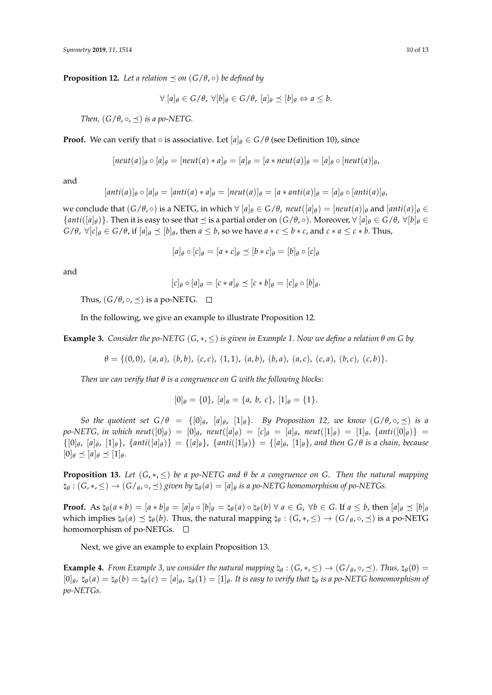**Proposition 12.** Let a relation  $\preceq$  on  $(G/\theta, \circ)$  be defined by

 $\forall$   $[a]_{\theta} \in G/\theta$ ,  $\forall [b]_{\theta} \in G/\theta$ ,  $[a]_{\theta} \preceq [b]_{\theta} \Leftrightarrow a \leq b$ .

*Then,*  $(G/\theta, \circ, \preceq)$  *is a po-NETG.* 

**Proof.** We can verify that  $\circ$  is associative. Let  $[a]_\theta \in G/\theta$  (see Definition 10), since

$$
[neut(a)]_\theta \circ [a]_\theta = [neut(a)*a]_\theta = [a]_\theta = [a*neut(a)]_\theta = [a]_\theta \circ [neut(a)]_\theta,
$$

and

$$
[anti(a)]_{\theta} \circ [a]_{\theta} = [anti(a) * a]_{\theta} = [neut(a)]_{\theta} = [a * anti(a)]_{\theta} = [a]_{\theta} \circ [anti(a)]_{\theta},
$$

we conclude that  $(G/\theta, \circ)$  is a NETG, in which  $\forall [a]_{\theta} \in G/\theta$ ,  $neut([a]_{\theta}) = [neut(a)]_{\theta}$  and  $[anti(a)]_{\theta} \in G/\theta$  ${anti([a]_\theta)}$ . Then it is easy to see that  $\preceq$  is a partial order on  $(G/\theta, \circ)$ . Moreover,  $\forall [a]_\theta \in G/\theta$ ,  $\forall [b]_\theta \in G$  $G/\theta$ ,  $\forall [c]_{\theta} \in G/\theta$ , if  $[a]_{\theta} \preceq [b]_{\theta}$ , then  $a \leq b$ , so we have  $a * c \leq b * c$ , and  $c * a \leq c * b$ . Thus,

$$
[a]_{\theta} \circ [c]_{\theta} = [a * c]_{\theta} \preceq [b * c]_{\theta} = [b]_{\theta} \circ [c]_{\theta}
$$

and

$$
[c]_{\theta} \circ [a]_{\theta} = [c * a]_{\theta} \preceq [c * b]_{\theta} = [c]_{\theta} \circ [b]_{\theta}.
$$

Thus,  $(G/\theta, \circ, \preceq)$  is a po-NETG.  $\square$ 

In the following, we give an example to illustrate Proposition 12.

**Example 3.** *Consider the po-NETG* (*G*, ∗, ≤) *is given in Example 1. Now we define a relation θ on G by*

 $\theta = \{(0,0), (a,a), (b,b), (c,c), (1,1), (a,b), (b,a), (a,c), (c,a), (b,c), (c,b)\}.$ 

*Then we can verify that θ is a congruence on G with the following blocks:*

 $[0]_\theta = \{0\}$ ,  $[a]_\theta = \{a, b, c\}$ ,  $[1]_\theta = \{1\}$ .

*So the quotient set*  $G/\theta = \{[0]_\theta, [a]_\theta, [1]_\theta\}$ *. By Proposition 12, we know*  $(G/\theta, \circ, \preceq)$  *is a*  $p$ *o*-NETG, in which  $neut([0]_\theta) = [0]_\theta$ ,  $neut([a]_\theta) = [c]_\theta = [a]_\theta$ ,  $neut([1]_\theta) = [1]_\theta$ ,  $\{anti([0]_\theta)\} =$  $\{[0]_\theta, [a]_\theta, [1]_\theta\}$ ,  $\{anti([a]_\theta)\} = \{[a]_\theta\}$ ,  $\{anti([1]_\theta)\} = \{[a]_\theta, [1]_\theta\}$ , and then  $G/\theta$  is a chain, because  $[0]_\theta \preceq [a]_\theta \preceq [1]_\theta.$ 

**Proposition 13.** *Let*  $(G, *, ≤)$  *be a po-NETG and*  $\theta$  *be a congruence on G. Then the natural mapping*  $\natural_\theta : (G, *, \leq) \to (G/_\theta, \circ, \preceq)$  given by  $\natural_\theta(a) = [a]_\theta$  is a po-NETG homomorphism of po-NETGs.

**Proof.** As  $\natural_{\theta}(a * b) = [a * b]_{\theta} = [a]_{\theta} \circ [b]_{\theta} = \natural_{\theta}(a) \circ \natural_{\theta}(b) \forall a \in G$ ,  $\forall b \in G$ . If  $a \leq b$ , then  $[a]_{\theta} \leq [b]_{\theta}$ which implies  $\natural_{\theta}(a) \preceq \natural_{\theta}(b)$ . Thus, the natural mapping  $\natural_{\theta} : (G, *, \leq) \to (G/_{\theta}, \circ, \preceq)$  is a po-NETG homomorphism of po-NETGs. □

Next, we give an example to explain Proposition 13.

**Example 4.** From Example 3, we consider the natural mapping  $\natural_{\theta}$  :  $(G, *, \leq) \to (G/\theta, \circ, \preceq)$ . Thus,  $\natural_{\theta}(0)$  =  $[0]_\theta$ ,  $\natural_\theta(a) = \natural_\theta(b) = \natural_\theta(c) = [a]_\theta$ ,  $\natural_\theta(1) = [1]_\theta$ . It is easy to verify that  $\natural_\theta$  is a po-NETG homomorphism of *po-NETGs.*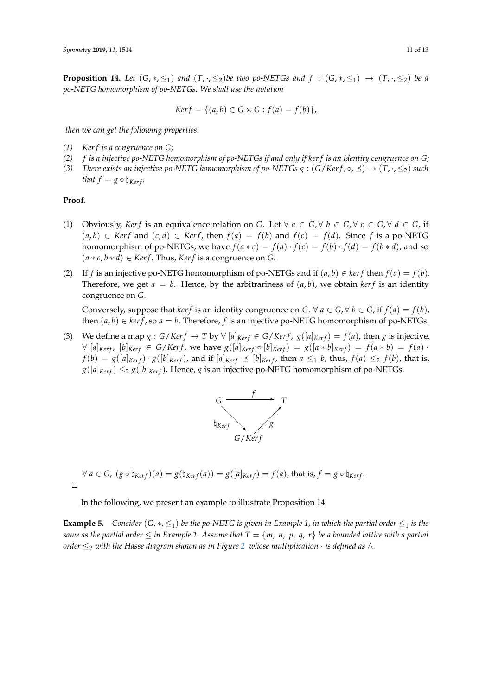**Proposition 14.** Let  $(G, *, \leq_1)$  and  $(T, *, \leq_2)$ be two po-NETGs and  $f : (G, *, \leq_1) \rightarrow (T, *, \leq_2)$  be a *po-NETG homomorphism of po-NETGs. We shall use the notation*

$$
Ker f = \{(a, b) \in G \times G : f(a) = f(b)\},\
$$

*then we can get the following properties:*

- *(1) Ker f is a congruence on G;*
- *(2) f is a injective po-NETG homomorphism of po-NETGs if and only if ker f is an identity congruence on G;*
- *(3) There exists an injective po-NETG homomorphism of po-NETGs*  $g : (G/Ker f, \circ, \preceq) \to (T, \cdot, \leq_2)$  *such that*  $f = g \circ \mathbf{h}_{Ker f}$ .

#### **Proof.**

- (1) Obviously, *Kerf* is an equivalence relation on *G*. Let  $\forall a \in G, \forall b \in G, \forall c \in G, \forall d \in G$ , if  $(a, b)$  ∈ *Kerf* and  $(c, d)$  ∈ *Kerf*, then  $f(a) = f(b)$  and  $f(c) = f(d)$ . Since *f* is a po-NETG homomorphism of po-NETGs, we have  $f(a * c) = f(a) \cdot f(c) = f(b) \cdot f(d) = f(b * d)$ , and so  $(a * c, b * d) \in \text{Ker } f$ . Thus, *Kerf* is a congruence on *G*.
- (2) If *f* is an injective po-NETG homomorphism of po-NETGs and if  $(a, b) \in \text{ker } f$  then  $f(a) = f(b)$ . Therefore, we get  $a = b$ . Hence, by the arbitrariness of  $(a, b)$ , we obtain *kerf* is an identity congruence on *G*.

Conversely, suppose that *kerf* is an identity congruence on *G*.  $\forall a \in G, \forall b \in G$ , if  $f(a) = f(b)$ , then  $(a, b) \in \text{ker } f$ , so  $a = b$ . Therefore, f is an injective po-NETG homomorphism of po-NETGs.

(3) We define a map  $g : G/Ker f \to T$  by  $\forall [a]_{Ker f} \in G/Ker f$ ,  $g([a]_{Ker f}) = f(a)$ , then  $g$  is injective.  $\forall$  [a]<sub>Kerf</sub>, [b]<sub>Kerf</sub>  $\in G/Kerf$ , we have  $g([a]_{Kerf} \circ [b]_{Kerf}) = g([a * b]_{Kerf}) = f(a * b) = f(a)$ .  $f(b) = g([a]_{Kerf}) \cdot g([b]_{Kerf})$ , and if  $[a]_{Kerf} \preceq [b]_{Kerf}$ , then  $a \leq_1 b$ , thus,  $f(a) \leq_2 f(b)$ , that is,  $g([a]_{Ker f}) \leq g([b]_{Ker f})$ . Hence, *g* is an injective po-NETG homomorphism of po-NETGs.



$$
\forall a \in G, (g \circ \natural_{Kerf})(a) = g(\natural_{Kerf}(a)) = g([a]_{Kerf}) = f(a), \text{ that is, } f = g \circ \natural_{Kerf}.
$$

In the following, we present an example to illustrate Proposition 14.

**Example 5.** *Consider* (*G*,  $*, \leq_1$ ) *be the po-NETG is given in Example 1, in which the partial order*  $\leq_1$  *is the same as the partial order*  $\leq$  *in Example 1. Assume that*  $T = \{m, n, p, q, r\}$  *be a bounded lattice with a partial order*  $\leq_2$  $\leq_2$  *with the Hasse diagram shown as in Figure* 2 *whose multiplication* · *is defined as* ∧*.*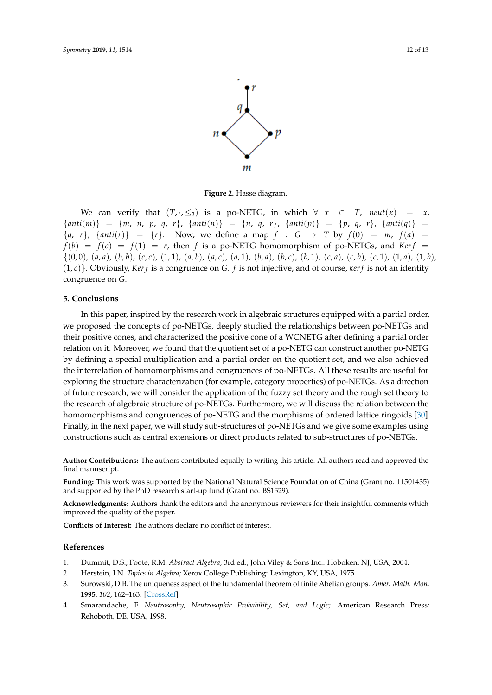

**Figure 2.** Hasse diagram.

<span id="page-11-4"></span>We can verify that  $(T, \cdot, \leq_2)$  is a po-NETG, in which  $\forall x \in T$ , neut $(x) = x$ ,  ${anti(m)} = {m, n, p, q, r}$ , {anti $(n) = {n, q, r}$ , {anti $(p) = {p, q, r}$ , {anti $(q) =$  $\{q, r\}$ ,  $\{anti(r)\}$  =  $\{r\}$ . Now, we define a map  $f : G \to T$  by  $f(0) = m$ ,  $f(a) =$  $f(b) = f(c) = f(1) = r$ , then *f* is a po-NETG homomorphism of po-NETGs, and *Kerf* =  $\{(0,0), (a,a), (b,b), (c,c), (1,1), (a,b), (a,c), (a,1), (b,a), (b,c), (b,1), (c,a), (c,b), (c,1), (1,a), (1,b),$  $(1, c)$ . Obviously, *Kerf* is a congruence on *G*. *f* is not injective, and of course, *kerf* is not an identity congruence on *G*.

#### <span id="page-11-3"></span>**5. Conclusions**

In this paper, inspired by the research work in algebraic structures equipped with a partial order, we proposed the concepts of po-NETGs, deeply studied the relationships between po-NETGs and their positive cones, and characterized the positive cone of a WCNETG after defining a partial order relation on it. Moreover, we found that the quotient set of a po-NETG can construct another po-NETG by defining a special multiplication and a partial order on the quotient set, and we also achieved the interrelation of homomorphisms and congruences of po-NETGs. All these results are useful for exploring the structure characterization (for example, category properties) of po-NETGs. As a direction of future research, we will consider the application of the fuzzy set theory and the rough set theory to the research of algebraic structure of po-NETGs. Furthermore, we will discuss the relation between the homomorphisms and congruences of po-NETG and the morphisms of ordered lattice ringoids [\[30\]](#page-12-16). Finally, in the next paper, we will study sub-structures of po-NETGs and we give some examples using constructions such as central extensions or direct products related to sub-structures of po-NETGs.

**Author Contributions:** The authors contributed equally to writing this article. All authors read and approved the final manuscript.

**Funding:** This work was supported by the National Natural Science Foundation of China (Grant no. 11501435) and supported by the PhD research start-up fund (Grant no. BS1529).

**Acknowledgments:** Authors thank the editors and the anonymous reviewers for their insightful comments which improved the quality of the paper.

**Conflicts of Interest:** The authors declare no conflict of interest.

# **References**

- <span id="page-11-0"></span>1. Dummit, D.S.; Foote, R.M. *Abstract Algebra,* 3rd ed.; John Viley & Sons Inc.: Hoboken, NJ, USA, 2004.
- 2. Herstein, I.N. *Topics in Algebra*; Xerox College Publishing: Lexington, KY, USA, 1975.
- <span id="page-11-1"></span>3. Surowski, D.B. The uniqueness aspect of the fundamental theorem of finite Abelian groups. *Amer. Math. Mon.* **1995**, *102*, 162–163. [\[CrossRef\]](http://dx.doi.org/10.1080/00029890.1995.11990552)
- <span id="page-11-2"></span>4. Smarandache, F. *Neutrosophy, Neutrosophic Probability, Set, and Logic;* American Research Press: Rehoboth, DE, USA, 1998.